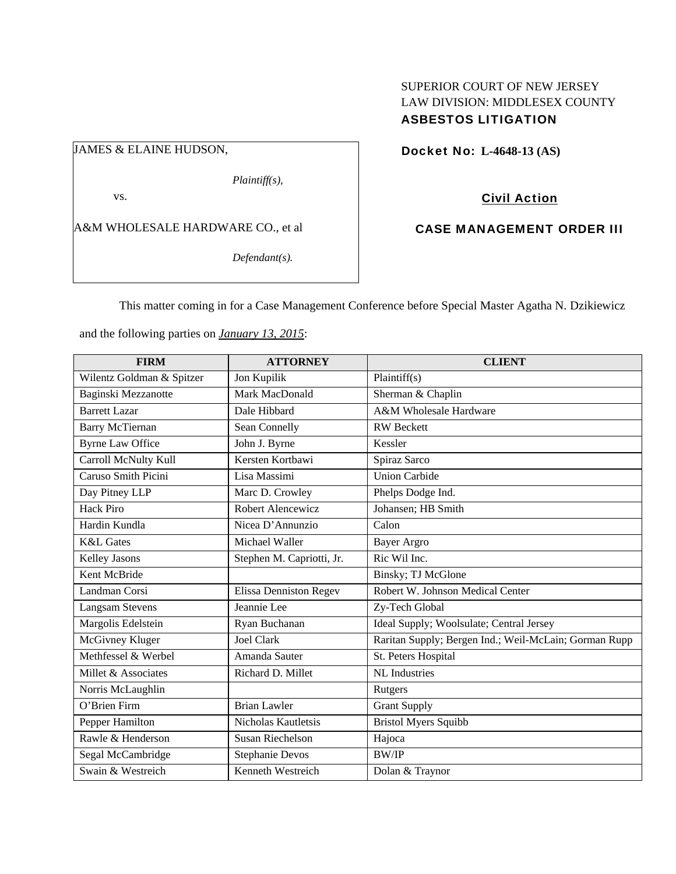## SUPERIOR COURT OF NEW JERSEY LAW DIVISION: MIDDLESEX COUNTY ASBESTOS LITIGATION

JAMES & ELAINE HUDSON,

*Plaintiff(s),* 

vs.

A&M WHOLESALE HARDWARE CO., et al

*Defendant(s).* 

Docket No: **L-4648-13 (AS)** 

Civil Action

CASE MANAGEMENT ORDER III

This matter coming in for a Case Management Conference before Special Master Agatha N. Dzikiewicz

and the following parties on *January 13, 2015*:

| <b>FIRM</b>               | <b>ATTORNEY</b>               | <b>CLIENT</b>                                         |
|---------------------------|-------------------------------|-------------------------------------------------------|
| Wilentz Goldman & Spitzer | Jon Kupilik                   | Plaintiff(s)                                          |
| Baginski Mezzanotte       | Mark MacDonald                | Sherman & Chaplin                                     |
| <b>Barrett Lazar</b>      | Dale Hibbard                  | A&M Wholesale Hardware                                |
| <b>Barry McTiernan</b>    | Sean Connelly                 | <b>RW</b> Beckett                                     |
| <b>Byrne Law Office</b>   | John J. Byrne                 | Kessler                                               |
| Carroll McNulty Kull      | Kersten Kortbawi              | Spiraz Sarco                                          |
| Caruso Smith Picini       | Lisa Massimi                  | <b>Union Carbide</b>                                  |
| Day Pitney LLP            | Marc D. Crowley               | Phelps Dodge Ind.                                     |
| <b>Hack Piro</b>          | Robert Alencewicz             | Johansen; HB Smith                                    |
| Hardin Kundla             | Nicea D'Annunzio              | Calon                                                 |
| <b>K&amp;L</b> Gates      | Michael Waller                | <b>Bayer Argro</b>                                    |
| Kelley Jasons             | Stephen M. Capriotti, Jr.     | Ric Wil Inc.                                          |
| Kent McBride              |                               | Binsky; TJ McGlone                                    |
| Landman Corsi             | <b>Elissa Denniston Regev</b> | Robert W. Johnson Medical Center                      |
| <b>Langsam Stevens</b>    | Jeannie Lee                   | Zy-Tech Global                                        |
| Margolis Edelstein        | Ryan Buchanan                 | Ideal Supply; Woolsulate; Central Jersey              |
| McGivney Kluger           | <b>Joel Clark</b>             | Raritan Supply; Bergen Ind.; Weil-McLain; Gorman Rupp |
| Methfessel & Werbel       | Amanda Sauter                 | St. Peters Hospital                                   |
| Millet & Associates       | Richard D. Millet             | <b>NL</b> Industries                                  |
| Norris McLaughlin         |                               | Rutgers                                               |
| O'Brien Firm              | <b>Brian Lawler</b>           | <b>Grant Supply</b>                                   |
| Pepper Hamilton           | Nicholas Kautletsis           | <b>Bristol Myers Squibb</b>                           |
| Rawle & Henderson         | Susan Riechelson              | Hajoca                                                |
| Segal McCambridge         | <b>Stephanie Devos</b>        | <b>BW/IP</b>                                          |
| Swain & Westreich         | Kenneth Westreich             | Dolan & Traynor                                       |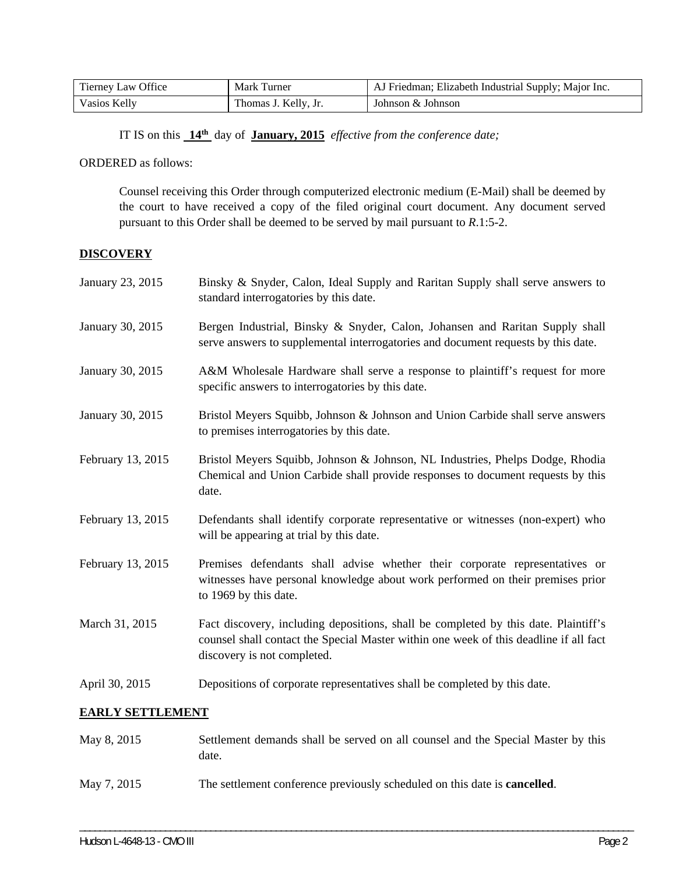| Tierney Law Office | Mark Turner          | AJ Friedman; Elizabeth Industrial Supply; Major Inc. |
|--------------------|----------------------|------------------------------------------------------|
| Vasios Kelly       | Thomas J. Kelly, Jr. | Johnson & Johnson                                    |

IT IS on this **14th** day of **January, 2015** *effective from the conference date;*

ORDERED as follows:

Counsel receiving this Order through computerized electronic medium (E-Mail) shall be deemed by the court to have received a copy of the filed original court document. Any document served pursuant to this Order shall be deemed to be served by mail pursuant to *R*.1:5-2.

## **DISCOVERY**

| January 23, 2015        | Binsky & Snyder, Calon, Ideal Supply and Raritan Supply shall serve answers to<br>standard interrogatories by this date.                                                                                    |
|-------------------------|-------------------------------------------------------------------------------------------------------------------------------------------------------------------------------------------------------------|
| January 30, 2015        | Bergen Industrial, Binsky & Snyder, Calon, Johansen and Raritan Supply shall<br>serve answers to supplemental interrogatories and document requests by this date.                                           |
| January 30, 2015        | A&M Wholesale Hardware shall serve a response to plaintiff's request for more<br>specific answers to interrogatories by this date.                                                                          |
| January 30, 2015        | Bristol Meyers Squibb, Johnson & Johnson and Union Carbide shall serve answers<br>to premises interrogatories by this date.                                                                                 |
| February 13, 2015       | Bristol Meyers Squibb, Johnson & Johnson, NL Industries, Phelps Dodge, Rhodia<br>Chemical and Union Carbide shall provide responses to document requests by this<br>date.                                   |
| February 13, 2015       | Defendants shall identify corporate representative or witnesses (non-expert) who<br>will be appearing at trial by this date.                                                                                |
| February 13, 2015       | Premises defendants shall advise whether their corporate representatives or<br>witnesses have personal knowledge about work performed on their premises prior<br>to 1969 by this date.                      |
| March 31, 2015          | Fact discovery, including depositions, shall be completed by this date. Plaintiff's<br>counsel shall contact the Special Master within one week of this deadline if all fact<br>discovery is not completed. |
| April 30, 2015          | Depositions of corporate representatives shall be completed by this date.                                                                                                                                   |
| <b>EARLY SETTLEMENT</b> |                                                                                                                                                                                                             |
| May 8, 2015             | Settlement demands shall be served on all counsel and the Special Master by this                                                                                                                            |

May 7, 2015 The settlement conference previously scheduled on this date is **cancelled**.

\_\_\_\_\_\_\_\_\_\_\_\_\_\_\_\_\_\_\_\_\_\_\_\_\_\_\_\_\_\_\_\_\_\_\_\_\_\_\_\_\_\_\_\_\_\_\_\_\_\_\_\_\_\_\_\_\_\_\_\_\_\_\_\_\_\_\_\_\_\_\_\_\_\_\_\_\_\_\_\_\_\_\_\_\_\_\_\_\_\_\_\_\_\_\_\_\_\_\_\_\_\_\_\_\_\_\_\_\_\_

date.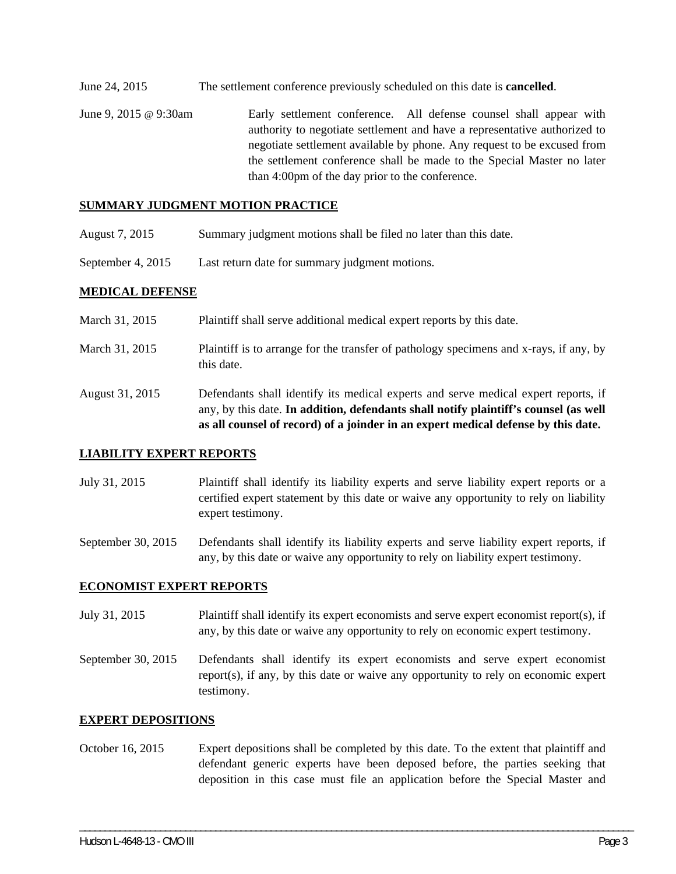- June 24, 2015 The settlement conference previously scheduled on this date is **cancelled**.
- June 9, 2015 @ 9:30am Early settlement conference. All defense counsel shall appear with authority to negotiate settlement and have a representative authorized to negotiate settlement available by phone. Any request to be excused from the settlement conference shall be made to the Special Master no later than 4:00pm of the day prior to the conference.

#### **SUMMARY JUDGMENT MOTION PRACTICE**

- August 7, 2015 Summary judgment motions shall be filed no later than this date.
- September 4, 2015 Last return date for summary judgment motions.

## **MEDICAL DEFENSE**

- March 31, 2015 Plaintiff shall serve additional medical expert reports by this date.
- March 31, 2015 Plaintiff is to arrange for the transfer of pathology specimens and x-rays, if any, by this date.
- August 31, 2015 Defendants shall identify its medical experts and serve medical expert reports, if any, by this date. **In addition, defendants shall notify plaintiff's counsel (as well as all counsel of record) of a joinder in an expert medical defense by this date.**

## **LIABILITY EXPERT REPORTS**

- July 31, 2015 Plaintiff shall identify its liability experts and serve liability expert reports or a certified expert statement by this date or waive any opportunity to rely on liability expert testimony.
- September 30, 2015 Defendants shall identify its liability experts and serve liability expert reports, if any, by this date or waive any opportunity to rely on liability expert testimony.

#### **ECONOMIST EXPERT REPORTS**

- July 31, 2015 Plaintiff shall identify its expert economists and serve expert economist report(s), if any, by this date or waive any opportunity to rely on economic expert testimony.
- September 30, 2015 Defendants shall identify its expert economists and serve expert economist report(s), if any, by this date or waive any opportunity to rely on economic expert testimony.

#### **EXPERT DEPOSITIONS**

October 16, 2015 Expert depositions shall be completed by this date. To the extent that plaintiff and defendant generic experts have been deposed before, the parties seeking that deposition in this case must file an application before the Special Master and

\_\_\_\_\_\_\_\_\_\_\_\_\_\_\_\_\_\_\_\_\_\_\_\_\_\_\_\_\_\_\_\_\_\_\_\_\_\_\_\_\_\_\_\_\_\_\_\_\_\_\_\_\_\_\_\_\_\_\_\_\_\_\_\_\_\_\_\_\_\_\_\_\_\_\_\_\_\_\_\_\_\_\_\_\_\_\_\_\_\_\_\_\_\_\_\_\_\_\_\_\_\_\_\_\_\_\_\_\_\_